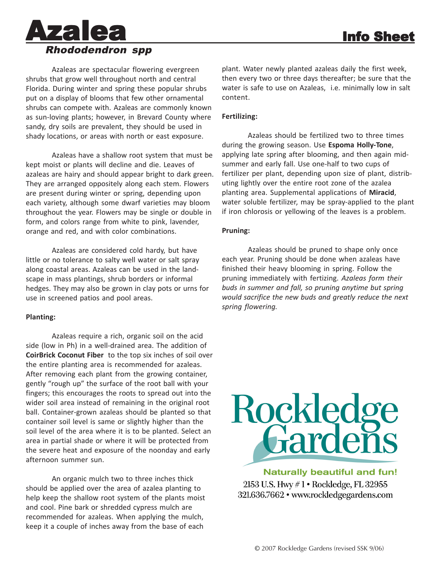

Azaleas are spectacular flowering evergreen shrubs that grow well throughout north and central Florida. During winter and spring these popular shrubs put on a display of blooms that few other ornamental shrubs can compete with. Azaleas are commonly known as sun-loving plants; however, in Brevard County where sandy, dry soils are prevalent, they should be used in shady locations, or areas with north or east exposure.

Azaleas have a shallow root system that must be kept moist or plants will decline and die. Leaves of azaleas are hairy and should appear bright to dark green. They are arranged oppositely along each stem. Flowers are present during winter or spring, depending upon each variety, although some dwarf varieties may bloom throughout the year. Flowers may be single or double in form, and colors range from white to pink, lavender, orange and red, and with color combinations.

Azaleas are considered cold hardy, but have little or no tolerance to salty well water or salt spray along coastal areas. Azaleas can be used in the landscape in mass plantings, shrub borders or informal hedges. They may also be grown in clay pots or urns for use in screened patios and pool areas.

#### **Planting:**

Azaleas require a rich, organic soil on the acid side (low in Ph) in a well-drained area. The addition of **CoirBrick Coconut Fiber** to the top six inches of soil over the entire planting area is recommended for azaleas. After removing each plant from the growing container, gently "rough up" the surface of the root ball with your fingers; this encourages the roots to spread out into the wider soil area instead of remaining in the original root ball. Container-grown azaleas should be planted so that container soil level is same or slightly higher than the soil level of the area where it is to be planted. Select an area in partial shade or where it will be protected from the severe heat and exposure of the noonday and early afternoon summer sun.

An organic mulch two to three inches thick should be applied over the area of azalea planting to help keep the shallow root system of the plants moist and cool. Pine bark or shredded cypress mulch are recommended for azaleas. When applying the mulch, keep it a couple of inches away from the base of each

plant. Water newly planted azaleas daily the first week, then every two or three days thereafter; be sure that the water is safe to use on Azaleas, i.e. minimally low in salt content.

## **Fertilizing:**

Azaleas should be fertilized two to three times during the growing season. Use **Espoma Holly-Tone**, applying late spring after blooming, and then again midsummer and early fall. Use one-half to two cups of fertilizer per plant, depending upon size of plant, distributing lightly over the entire root zone of the azalea planting area. Supplemental applications of **Miracid**, water soluble fertilizer, may be spray-applied to the plant if iron chlorosis or yellowing of the leaves is a problem.

## **Pruning:**

Azaleas should be pruned to shape only once each year. Pruning should be done when azaleas have finished their heavy blooming in spring. Follow the pruning immediately with fertizing. *Azaleas form their buds in summer and fall, so pruning anytime but spring would sacrifice the new buds and greatly reduce the next spring flowering.*



**Naturally beautiful and fun!** 2153 U.S. Hwy #1 • Rockledge, FL 32955 321.636.7662 • www.rockledgegardens.com